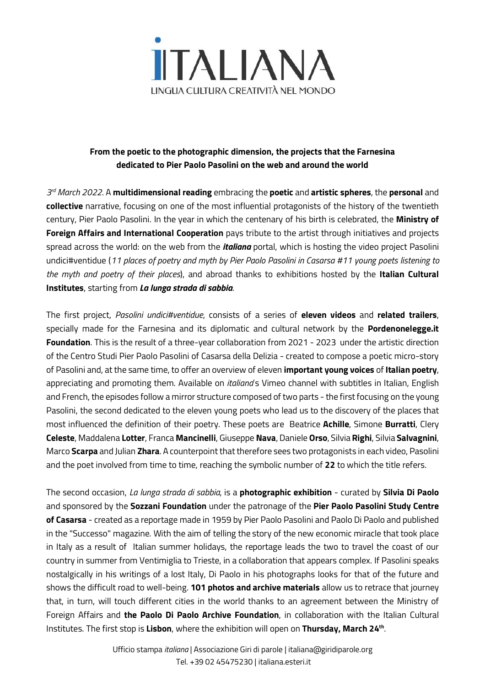

## **From the poetic to the photographic dimension, the projects that the Farnesina dedicated to Pier Paolo Pasolini on the web and around the world**

*3 rd March 2022*. A **multidimensional reading** embracing the **poetic** and **artistic spheres**, the **personal** and **collective** narrative, focusing on one of the most influential protagonists of the history of the twentieth century, Pier Paolo Pasolini. In the year in which the centenary of his birth is celebrated, the **Ministry of Foreign Affairs and International Cooperation** pays tribute to the artist through initiatives and projects spread across the world: on the web from the *italiana* portal, which is hosting the video project Pasolini undici#ventidue (11 places of poetry and myth by Pier Paolo Pasolini in Casarsa #11 young poets listening to *the myth and poetry of their places*), and abroad thanks to exhibitions hosted by the **Italian Cultural Institutes**, starting from *La lunga strada di sabbia*.

The first project, *Pasolini undici#ventidue*, consists of a series of **eleven videos** and **related trailers**, specially made for the Farnesina and its diplomatic and cultural network by the **Pordenonelegge.it Foundation**. This is the result of a three-year collaboration from 2021 - 2023 under the artistic direction of the Centro Studi Pier Paolo Pasolini of Casarsa della Delizia - created to compose a poetic micro-story of Pasolini and, at the same time, to offer an overview of eleven **important young voices** of **Italian poetry**, appreciating and promoting them. Available on *italiana*'s Vimeo channel with subtitles in Italian, English and French, the episodes follow a mirror structure composed of two parts - the first focusing on the young Pasolini, the second dedicated to the eleven young poets who lead us to the discovery of the places that most influenced the definition of their poetry. These poets are Beatrice **Achille**, Simone **Burratti**, Clery **Celeste**, Maddalena **Lotter**, Franca **Mancinelli**, Giuseppe **Nava**, Daniele **Orso**, Silvia **Righi**, Silvia **Salvagnini**, Marco **Scarpa** and Julian **Zhara**. A counterpoint that therefore sees two protagonists in each video, Pasolini and the poet involved from time to time, reaching the symbolic number of **22** to which the title refers.

The second occasion, *La lunga strada di sabbia*, is a **photographic exhibition** - curated by **Silvia Di Paolo** and sponsored by the **Sozzani Foundation** under the patronage of the **Pier Paolo Pasolini Study Centre of Casarsa** - created as a reportage made in 1959 by Pier Paolo Pasolini and Paolo Di Paolo and published in the "Successo" magazine. With the aim of telling the story of the new economic miracle that took place in Italy as a result of Italian summer holidays, the reportage leads the two to travel the coast of our country in summer from Ventimiglia to Trieste, in a collaboration that appears complex. If Pasolini speaks nostalgically in his writings of a lost Italy, Di Paolo in his photographs looks for that of the future and shows the difficult road to well-being. **101 photos and archive materials** allow us to retrace that journey that, in turn, will touch different cities in the world thanks to an agreement between the Ministry of Foreign Affairs and **the Paolo Di Paolo Archive Foundation**, in collaboration with the Italian Cultural Institutes. The first stop is **Lisbon**, where the exhibition will open on **Thursday, March 24th** .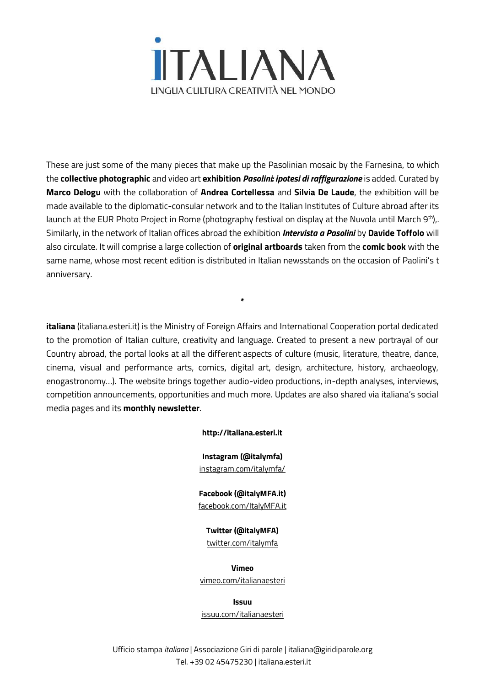

These are just some of the many pieces that make up the Pasolinian mosaic by the Farnesina, to which the **collective photographic** and video art **exhibition** *Pasolini: ipotesi di raffigurazione* is added. Curated by **Marco Delogu** with the collaboration of **Andrea Cortellessa** and **Silvia De Laude**, the exhibition will be made available to the diplomatic-consular network and to the Italian Institutes of Culture abroad after its launch at the EUR Photo Project in Rome (photography festival on display at the Nuvola until March 9<sup>th</sup>),. Similarly, in the network of Italian offices abroad the exhibition *Intervista a Pasolini* by **Davide Toffolo** will also circulate. It will comprise a large collection of **original artboards** taken from the **comic book** with the same name, whose most recent edition is distributed in Italian newsstands on the occasion of Paolini's t anniversary.

**italiana** (italiana.esteri.it) is the Ministry of Foreign Affairs and International Cooperation portal dedicated to the promotion of Italian culture, creativity and language. Created to present a new portrayal of our Country abroad, the portal looks at all the different aspects of culture (music, literature, theatre, dance, cinema, visual and performance arts, comics, digital art, design, architecture, history, archaeology, enogastronomy…). The website brings together audio-video productions, in-depth analyses, interviews, competition announcements, opportunities and much more. Updates are also shared via italiana's social media pages and its **monthly newsletter**.

**\***

## **http://italiana.esteri.it**

**Instagram (@italymfa)** [instagram.com/italymfa/](https://www.instagram.com/italymfa/)

**Facebook (@italyMFA.it)** [facebook.com/ItalyMFA.it](https://www.facebook.com/ItalyMFA.it)

**Twitter (@italyMFA)**

[twitter.com/italymfa](https://twitter.com/italymfa)

**Vimeo** [vimeo.com/italianaesteri](https://vimeo.com/italianaesteri)

**Issuu**

[issuu.com/italianaesteri](https://issuu.com/italianaesteri)

Ufficio stampa *italiana* | Associazione Giri di parole [| italiana@giridiparole.org](mailto:italiana@exlibris.it) Tel. +39 02 45475230 | [italiana.esteri.it](http://italiana.esteri.it/)